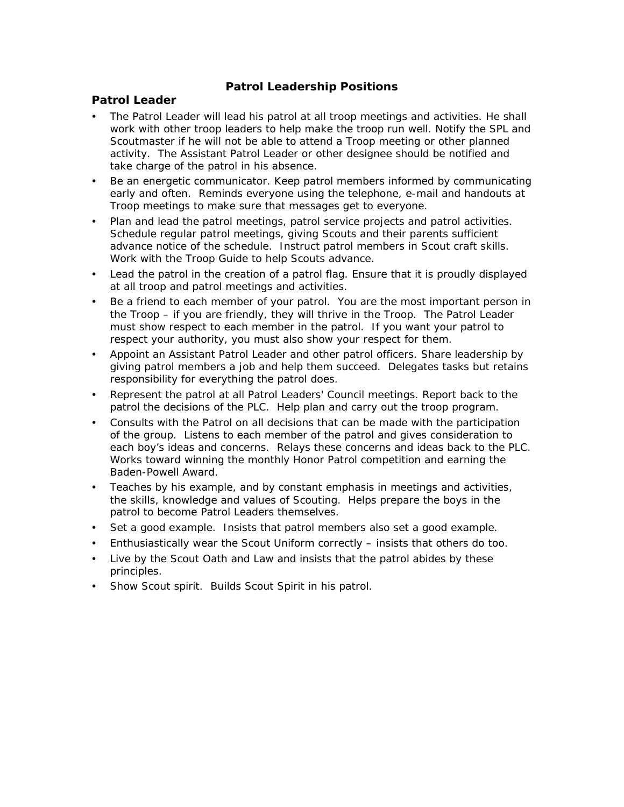# **Patrol Leadership Positions**

## **Patrol Leader**

- The Patrol Leader will lead his patrol at all troop meetings and activities. He shall work with other troop leaders to help make the troop run well. Notify the SPL and Scoutmaster if he will not be able to attend a Troop meeting or other planned activity. The Assistant Patrol Leader or other designee should be notified and take charge of the patrol in his absence.
- Be an energetic communicator. Keep patrol members informed by communicating early and often. Reminds everyone using the telephone, e-mail and handouts at Troop meetings to make sure that messages get to everyone.
- Plan and lead the patrol meetings, patrol service projects and patrol activities. Schedule regular patrol meetings, giving Scouts and their parents sufficient advance notice of the schedule. Instruct patrol members in Scout craft skills. Work with the Troop Guide to help Scouts advance.
- Lead the patrol in the creation of a patrol flag. Ensure that it is proudly displayed at all troop and patrol meetings and activities.
- Be a friend to each member of your patrol. You are the most important person in the Troop – if you are friendly, they will thrive in the Troop. The Patrol Leader must show respect to each member in the patrol. If you want your patrol to respect your authority, you must also show your respect for them.
- Appoint an Assistant Patrol Leader and other patrol officers. Share leadership by giving patrol members a job and help them succeed. Delegates tasks but retains responsibility for everything the patrol does.
- Represent the patrol at all Patrol Leaders' Council meetings. Report back to the patrol the decisions of the PLC. Help plan and carry out the troop program.
- Consults with the Patrol on all decisions that can be made with the participation of the group. Listens to each member of the patrol and gives consideration to each boy's ideas and concerns. Relays these concerns and ideas back to the PLC. Works toward winning the monthly Honor Patrol competition and earning the Baden-Powell Award.
- Teaches by his example, and by constant emphasis in meetings and activities, the skills, knowledge and values of Scouting. Helps prepare the boys in the patrol to become Patrol Leaders themselves.
- Set a good example. Insists that patrol members also set a good example.
- Enthusiastically wear the Scout Uniform correctly insists that others do too.
- Live by the Scout Oath and Law and insists that the patrol abides by these principles.
- Show Scout spirit. Builds Scout Spirit in his patrol.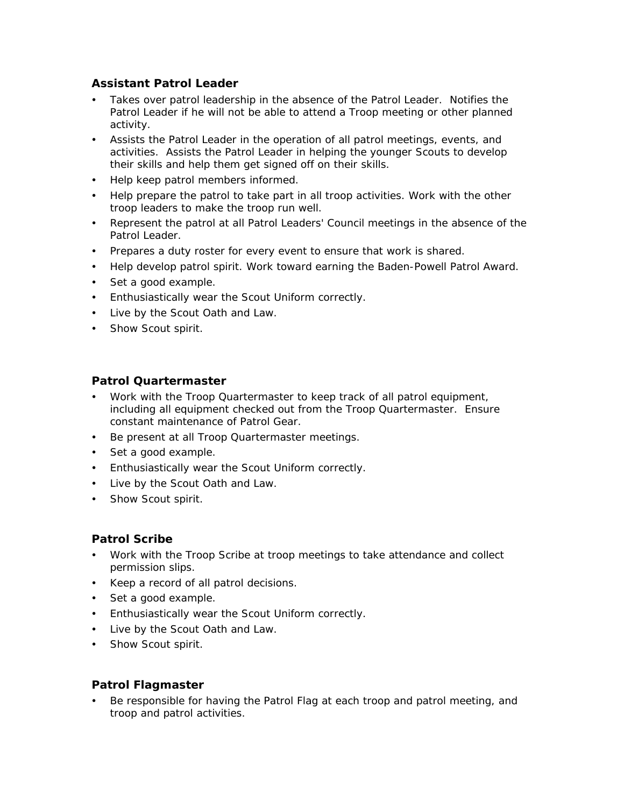# **Assistant Patrol Leader**

- Takes over patrol leadership in the absence of the Patrol Leader. Notifies the Patrol Leader if he will not be able to attend a Troop meeting or other planned activity.
- Assists the Patrol Leader in the operation of all patrol meetings, events, and activities. Assists the Patrol Leader in helping the younger Scouts to develop their skills and help them get signed off on their skills.
- Help keep patrol members informed.
- Help prepare the patrol to take part in all troop activities. Work with the other troop leaders to make the troop run well.
- Represent the patrol at all Patrol Leaders' Council meetings in the absence of the Patrol Leader.
- Prepares a duty roster for every event to ensure that work is shared.
- Help develop patrol spirit. Work toward earning the Baden-Powell Patrol Award.
- Set a good example.
- Enthusiastically wear the Scout Uniform correctly.
- Live by the Scout Oath and Law.
- Show Scout spirit.

# **Patrol Quartermaster**

- Work with the Troop Quartermaster to keep track of all patrol equipment, including all equipment checked out from the Troop Quartermaster. Ensure constant maintenance of Patrol Gear.
- Be present at all Troop Quartermaster meetings.
- Set a good example.
- Enthusiastically wear the Scout Uniform correctly.
- Live by the Scout Oath and Law.
- Show Scout spirit.

#### **Patrol Scribe**

- Work with the Troop Scribe at troop meetings to take attendance and collect permission slips.
- Keep a record of all patrol decisions.
- Set a good example.
- Enthusiastically wear the Scout Uniform correctly.
- Live by the Scout Oath and Law.
- Show Scout spirit.

## **Patrol Flagmaster**

 Be responsible for having the Patrol Flag at each troop and patrol meeting, and troop and patrol activities.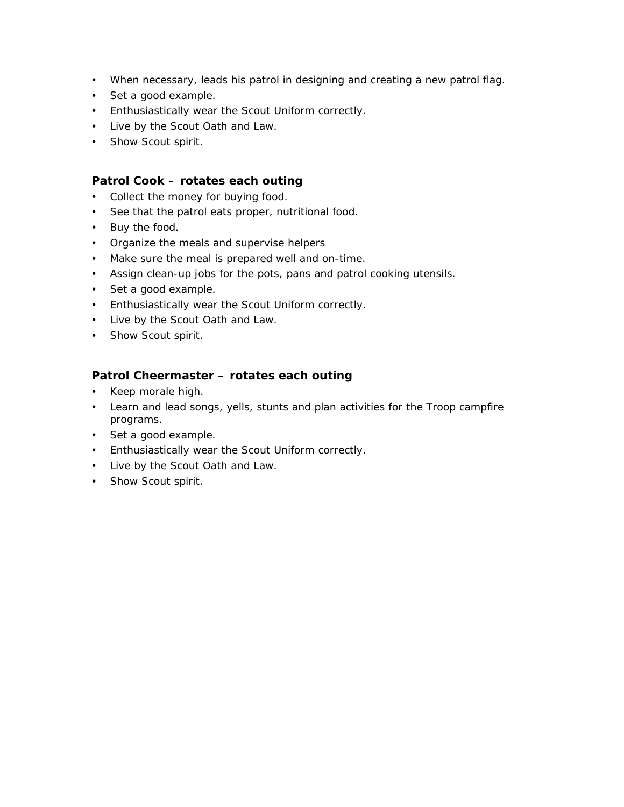- When necessary, leads his patrol in designing and creating a new patrol flag.
- Set a good example.
- Enthusiastically wear the Scout Uniform correctly.
- Live by the Scout Oath and Law.
- Show Scout spirit.

#### **Patrol Cook – rotates each outing**

- Collect the money for buying food.
- See that the patrol eats proper, nutritional food.
- Buy the food.
- Organize the meals and supervise helpers
- Make sure the meal is prepared well and on-time.
- Assign clean-up jobs for the pots, pans and patrol cooking utensils.
- Set a good example.
- Enthusiastically wear the Scout Uniform correctly.
- Live by the Scout Oath and Law.
- Show Scout spirit.

#### **Patrol Cheermaster – rotates each outing**

- Keep morale high.
- Learn and lead songs, yells, stunts and plan activities for the Troop campfire programs.
- Set a good example.
- Enthusiastically wear the Scout Uniform correctly.
- Live by the Scout Oath and Law.
- Show Scout spirit.